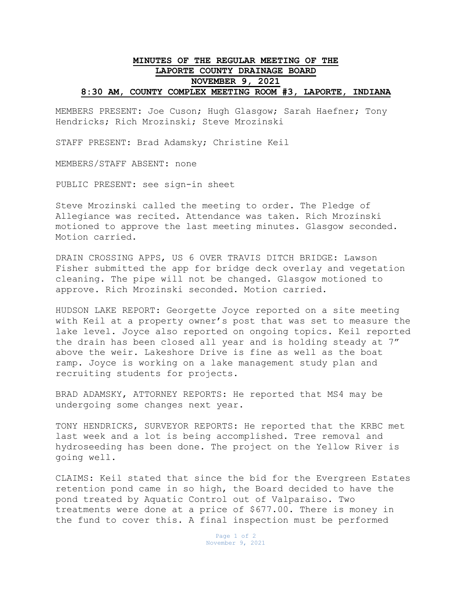## **MINUTES OF THE REGULAR MEETING OF THE LAPORTE COUNTY DRAINAGE BOARD NOVEMBER 9, 2021 8:30 AM, COUNTY COMPLEX MEETING ROOM #3, LAPORTE, INDIANA**

MEMBERS PRESENT: Joe Cuson; Hugh Glasgow; Sarah Haefner; Tony Hendricks; Rich Mrozinski; Steve Mrozinski

STAFF PRESENT: Brad Adamsky; Christine Keil

MEMBERS/STAFF ABSENT: none

PUBLIC PRESENT: see sign-in sheet

Steve Mrozinski called the meeting to order. The Pledge of Allegiance was recited. Attendance was taken. Rich Mrozinski motioned to approve the last meeting minutes. Glasgow seconded. Motion carried.

DRAIN CROSSING APPS, US 6 OVER TRAVIS DITCH BRIDGE: Lawson Fisher submitted the app for bridge deck overlay and vegetation cleaning. The pipe will not be changed. Glasgow motioned to approve. Rich Mrozinski seconded. Motion carried.

HUDSON LAKE REPORT: Georgette Joyce reported on a site meeting with Keil at a property owner's post that was set to measure the lake level. Joyce also reported on ongoing topics. Keil reported the drain has been closed all year and is holding steady at 7" above the weir. Lakeshore Drive is fine as well as the boat ramp. Joyce is working on a lake management study plan and recruiting students for projects.

BRAD ADAMSKY, ATTORNEY REPORTS: He reported that MS4 may be undergoing some changes next year.

TONY HENDRICKS, SURVEYOR REPORTS: He reported that the KRBC met last week and a lot is being accomplished. Tree removal and hydroseeding has been done. The project on the Yellow River is going well.

CLAIMS: Keil stated that since the bid for the Evergreen Estates retention pond came in so high, the Board decided to have the pond treated by Aquatic Control out of Valparaiso. Two treatments were done at a price of \$677.00. There is money in the fund to cover this. A final inspection must be performed